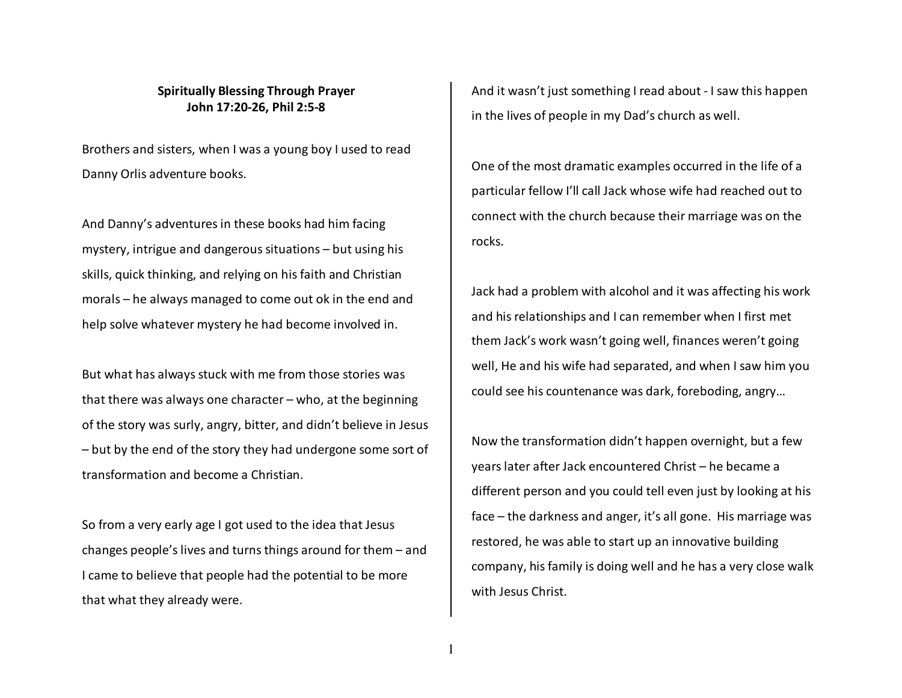## **Spiritually Blessing Through Prayer John 17:20-26, Phil 2:5-8**

Brothers and sisters, when I was a young boy I used to read Danny Orlis adventure books.

And Danny's adventures in these books had him facingmystery, intrigue and dangerous situations – but using his skills, quick thinking, and relying on his faith and Christian morals – he always managed to come out ok in the end and help solve whatever mystery he had become involved in.

But what has always stuck with me from those stories was that there was always one character – who, at the beginning of the story was surly, angry, bitter, and didn't believe in Jesus – but by the end of the story they had undergone some sort of transformation and become a Christian.

So from a very early age I got used to the idea that Jesus changes people's lives and turns things around for them – and I came to believe that people had the potential to be more that what they already were.

And it wasn't just something I read about - I saw this happen in the lives of people in my Dad's church as well.

One of the most dramatic examples occurred in the life of a particular fellow I'll call Jack whose wife had reached out to connect with the church because their marriage was on the rocks.

Jack had a problem with alcohol and it was affecting his work and his relationships and I can remember when I first met them Jack's work wasn't going well, finances weren't going well, He and his wife had separated, and when I saw him you could see his countenance was dark, foreboding, angry…

Now the transformation didn't happen overnight, but a few years later after Jack encountered Christ – he became a different person and you could tell even just by looking at his face – the darkness and anger, it's all gone. His marriage was restored, he was able to start up an innovative building company, his family is doing well and he has a very close walk with Jesus Christ.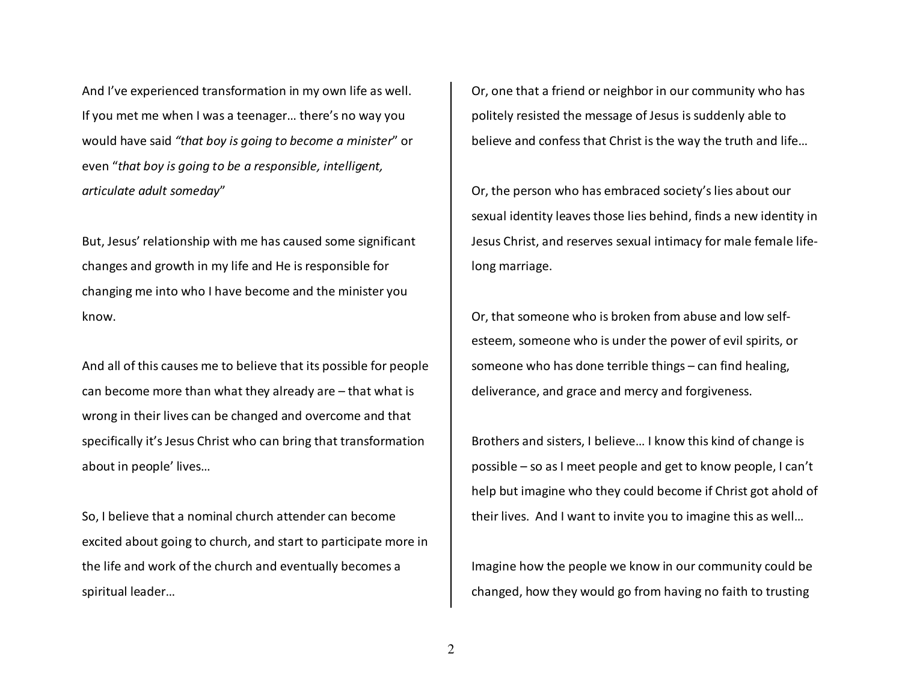And I've experienced transformation in my own life as well. If you met me when I was a teenager… there's no way you would have said *"that boy is going to become a minister*" or even "*that boy is going to be a responsible, intelligent,articulate adult someday*"

But, Jesus' relationship with me has caused some significant changes and growth in my life and He is responsible for changing me into who I have become and the minister you know.

And all of this causes me to believe that its possible for people can become more than what they already are – that what is wrong in their lives can be changed and overcome and that specifically it's Jesus Christ who can bring that transformation about in people' lives…

So, I believe that a nominal church attender can become excited about going to church, and start to participate more in the life and work of the church and eventually becomes a spiritual leader…

Or, one that a friend or neighbor in our community who has politely resisted the message of Jesus is suddenly able to believe and confess that Christ is the way the truth and life…

Or, the person who has embraced society's lies about our sexual identity leaves those lies behind, finds a new identity in Jesus Christ, and reserves sexual intimacy for male female lifelong marriage.

Or, that someone who is broken from abuse and low selfesteem, someone who is under the power of evil spirits, or someone who has done terrible things – can find healing, deliverance, and grace and mercy and forgiveness.

Brothers and sisters, I believe… I know this kind of change is possible – so as I meet people and get to know people, I can't help but imagine who they could become if Christ got ahold of their lives. And I want to invite you to imagine this as well…

Imagine how the people we know in our community could be changed, how they would go from having no faith to trusting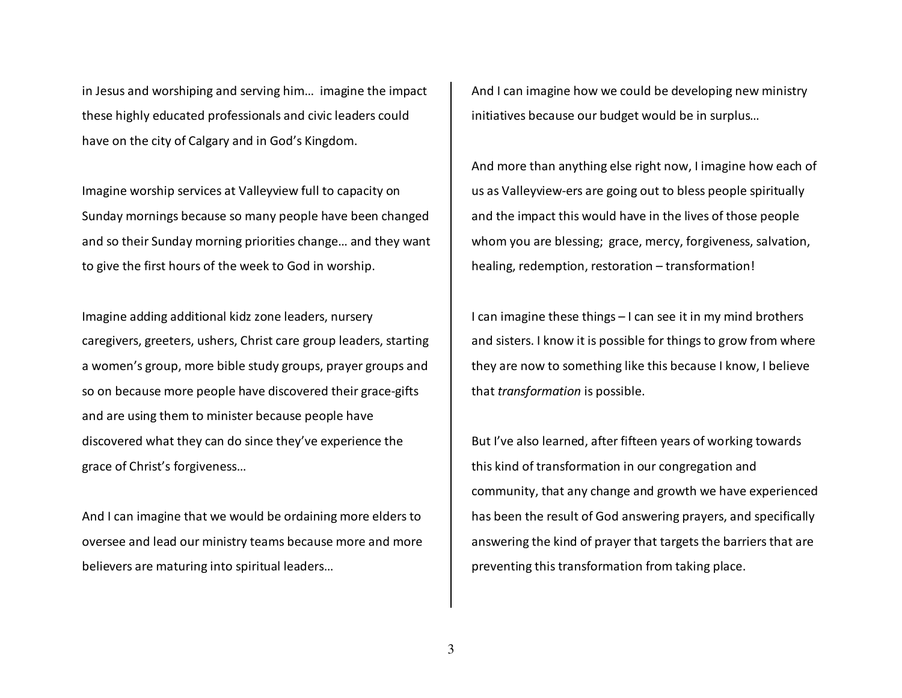in Jesus and worshiping and serving him… imagine the impact these highly educated professionals and civic leaders could have on the city of Calgary and in God's Kingdom.

Imagine worship services at Valleyview full to capacity on Sunday mornings because so many people have been changed and so their Sunday morning priorities change… and they want to give the first hours of the week to God in worship.

Imagine adding additional kidz zone leaders, nurserycaregivers, greeters, ushers, Christ care group leaders, starting a women's group, more bible study groups, prayer groups and so on because more people have discovered their grace-gifts and are using them to minister because people have discovered what they can do since they've experience the grace of Christ's forgiveness…

And I can imagine that we would be ordaining more elders to oversee and lead our ministry teams because more and more believers are maturing into spiritual leaders…

And I can imagine how we could be developing new ministry initiatives because our budget would be in surplus…

And more than anything else right now, I imagine how each of us as Valleyview-ers are going out to bless people spiritually and the impact this would have in the lives of those people whom you are blessing; grace, mercy, forgiveness, salvation, healing, redemption, restoration – transformation!

I can imagine these things – I can see it in my mind brothers and sisters. I know it is possible for things to grow from where they are now to something like this because I know, I believe that *transformation* is possible.

But I've also learned, after fifteen years of working towards this kind of transformation in our congregation andcommunity, that any change and growth we have experienced has been the result of God answering prayers, and specifically answering the kind of prayer that targets the barriers that are preventing this transformation from taking place.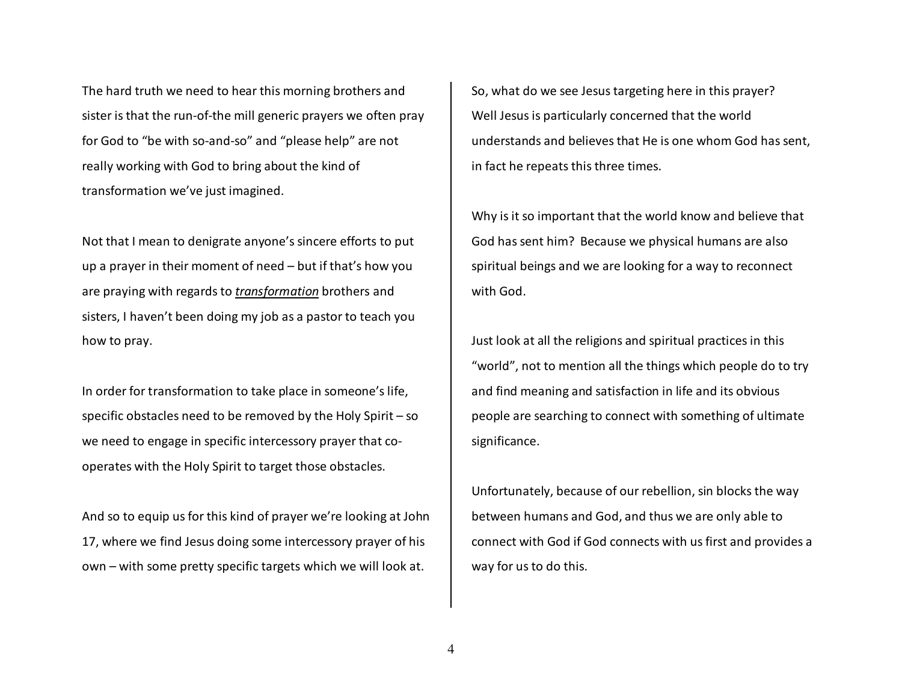The hard truth we need to hear this morning brothers and sister is that the run-of-the mill generic prayers we often pray for God to "be with so-and-so" and "please help" are not really working with God to bring about the kind of transformation we've just imagined.

Not that I mean to denigrate anyone's sincere efforts to put up a prayer in their moment of need – but if that's how you are praying with regards to *transformation* brothers and sisters, I haven't been doing my job as a pastor to teach you how to pray.

In order for transformation to take place in someone's life, specific obstacles need to be removed by the Holy Spirit – so we need to engage in specific intercessory prayer that cooperates with the Holy Spirit to target those obstacles.

And so to equip us for this kind of prayer we're looking at John 17, where we find Jesus doing some intercessory prayer of his own – with some pretty specific targets which we will look at.

So, what do we see Jesus targeting here in this prayer? Well Jesus is particularly concerned that the worldunderstands and believes that He is one whom God has sent, in fact he repeats this three times.

Why is it so important that the world know and believe that God has sent him? Because we physical humans are also spiritual beings and we are looking for a way to reconnect with God.

Just look at all the religions and spiritual practices in this "world", not to mention all the things which people do to try and find meaning and satisfaction in life and its obvious people are searching to connect with something of ultimate significance.

Unfortunately, because of our rebellion, sin blocks the way between humans and God, and thus we are only able toconnect with God if God connects with us first and provides a way for us to do this.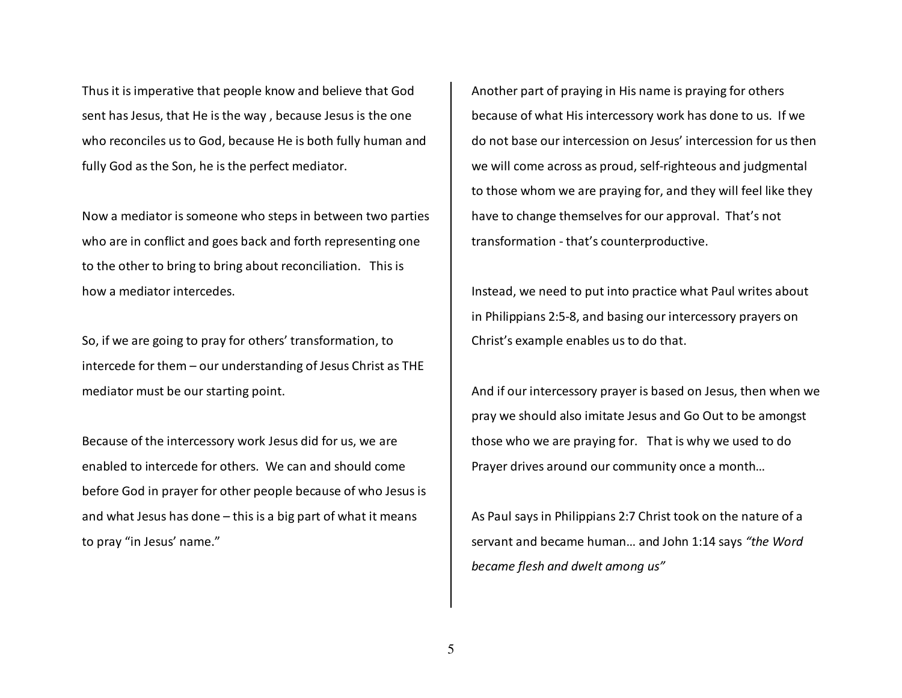Thus it is imperative that people know and believe that God sent has Jesus, that He is the way , because Jesus is the one who reconciles us to God, because He is both fully human and fully God as the Son, he is the perfect mediator.

Now a mediator is someone who steps in between two parties who are in conflict and goes back and forth representing one to the other to bring to bring about reconciliation. This is how a mediator intercedes.

So, if we are going to pray for others' transformation, to intercede for them – our understanding of Jesus Christ as THE mediator must be our starting point.

Because of the intercessory work Jesus did for us, we are enabled to intercede for others. We can and should come before God in prayer for other people because of who Jesus is and what Jesus has done – this is a big part of what it means to pray "in Jesus' name."

Another part of praying in His name is praying for others because of what His intercessory work has done to us. If we do not base our intercession on Jesus' intercession for us then we will come across as proud, self-righteous and judgmental to those whom we are praying for, and they will feel like they have to change themselves for our approval. That's not transformation - that's counterproductive.

Instead, we need to put into practice what Paul writes about in Philippians 2:5-8, and basing our intercessory prayers on Christ's example enables us to do that.

And if our intercessory prayer is based on Jesus, then when we pray we should also imitate Jesus and Go Out to be amongst those who we are praying for. That is why we used to do Prayer drives around our community once a month…

As Paul says in Philippians 2:7 Christ took on the nature of a servant and became human… and John 1:14 says *"the Word became flesh and dwelt among us"*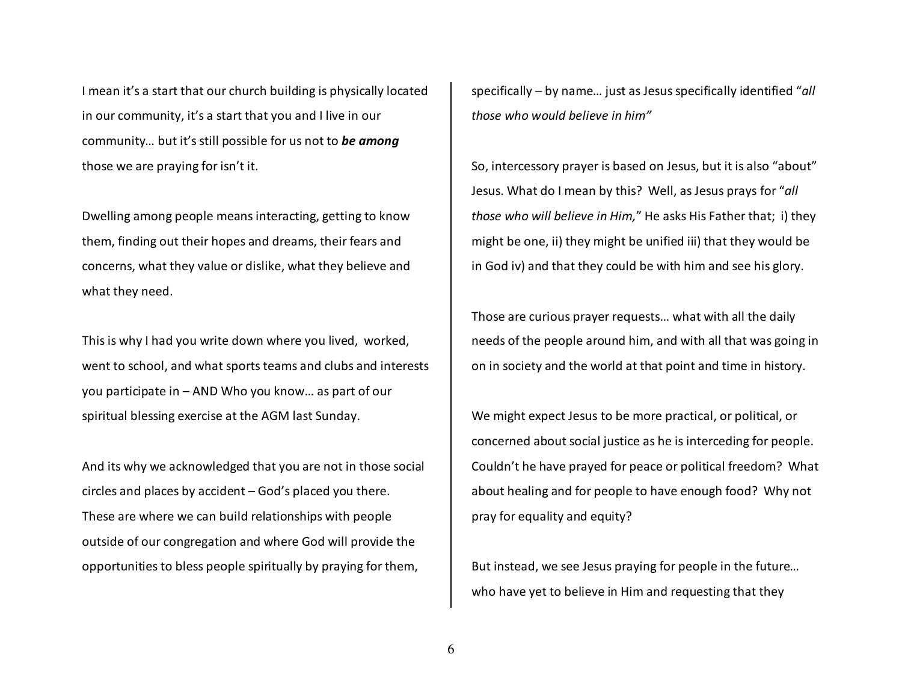I mean it's a start that our church building is physically located in our community, it's a start that you and I live in our community… but it's still possible for us not to *be among*those we are praying for isn't it.

Dwelling among people means interacting, getting to know them, finding out their hopes and dreams, their fears and concerns, what they value or dislike, what they believe and what they need.

This is why I had you write down where you lived, worked, went to school, and what sports teams and clubs and interests you participate in – AND Who you know… as part of our spiritual blessing exercise at the AGM last Sunday.

And its why we acknowledged that you are not in those social circles and places by accident – God's placed you there. These are where we can build relationships with people outside of our congregation and where God will provide the opportunities to bless people spiritually by praying for them,

specifically – by name… just as Jesus specifically identified "*all those who would believe in him"*

So, intercessory prayer is based on Jesus, but it is also "about" Jesus. What do I mean by this? Well, as Jesus prays for "*all those who will believe in Him,*" He asks His Father that; i) they might be one, ii) they might be unified iii) that they would be in God iv) and that they could be with him and see his glory.

Those are curious prayer requests… what with all the daily needs of the people around him, and with all that was going in on in society and the world at that point and time in history.

We might expect Jesus to be more practical, or political, or concerned about social justice as he is interceding for people. Couldn't he have prayed for peace or political freedom? What about healing and for people to have enough food? Why not pray for equality and equity?

But instead, we see Jesus praying for people in the future… who have yet to believe in Him and requesting that they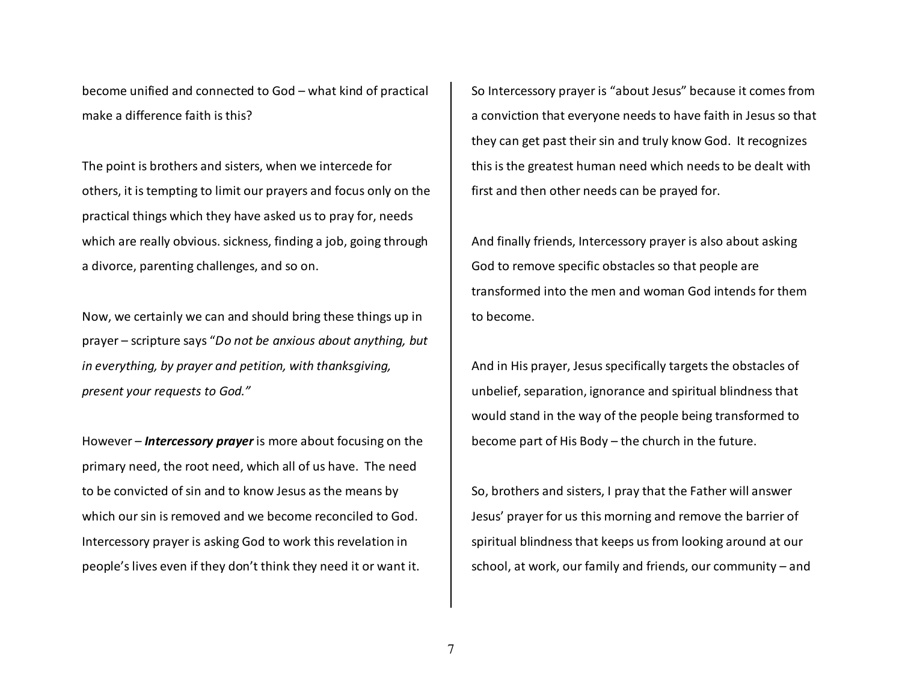become unified and connected to God – what kind of practical make a difference faith is this?

The point is brothers and sisters, when we intercede for others, it is tempting to limit our prayers and focus only on the practical things which they have asked us to pray for, needs which are really obvious. sickness, finding a job, going through a divorce, parenting challenges, and so on.

Now, we certainly we can and should bring these things up in prayer – scripture says "*Do not be anxious about anything, but in everything, by prayer and petition, with thanksgiving, present your requests to God."*

However – *Intercessory prayer* is more about focusing on the primary need, the root need, which all of us have. The need to be convicted of sin and to know Jesus as the means by which our sin is removed and we become reconciled to God. Intercessory prayer is asking God to work this revelation in people's lives even if they don't think they need it or want it.

So Intercessory prayer is "about Jesus" because it comes from a conviction that everyone needs to have faith in Jesus so that they can get past their sin and truly know God. It recognizes this is the greatest human need which needs to be dealt with first and then other needs can be prayed for.

And finally friends, Intercessory prayer is also about asking God to remove specific obstacles so that people aretransformed into the men and woman God intends for them to become.

And in His prayer, Jesus specifically targets the obstacles of unbelief, separation, ignorance and spiritual blindness that would stand in the way of the people being transformed to become part of His Body – the church in the future.

So, brothers and sisters, I pray that the Father will answer Jesus' prayer for us this morning and remove the barrier of spiritual blindness that keeps us from looking around at our school, at work, our family and friends, our community – and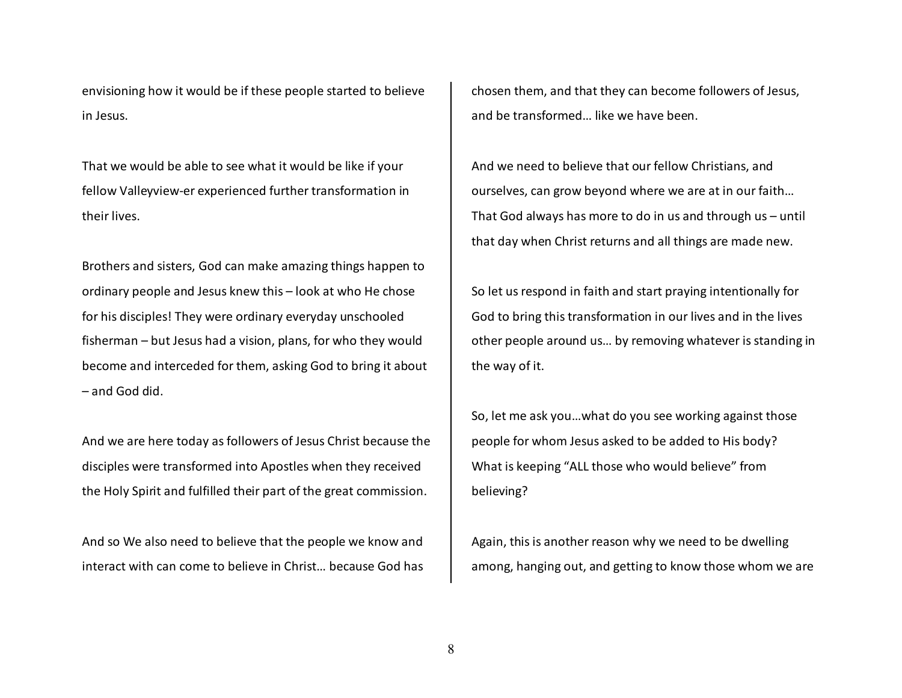envisioning how it would be if these people started to believe in Jesus.

That we would be able to see what it would be like if your fellow Valleyview-er experienced further transformation in their lives.

Brothers and sisters, God can make amazing things happen to ordinary people and Jesus knew this – look at who He chose for his disciples! They were ordinary everyday unschooled fisherman – but Jesus had a vision, plans, for who they would become and interceded for them, asking God to bring it about – and God did.

And we are here today as followers of Jesus Christ because the disciples were transformed into Apostles when they received the Holy Spirit and fulfilled their part of the great commission.

And so We also need to believe that the people we know and interact with can come to believe in Christ… because God has chosen them, and that they can become followers of Jesus, and be transformed… like we have been.

And we need to believe that our fellow Christians, and ourselves, can grow beyond where we are at in our faith… That God always has more to do in us and through us – until that day when Christ returns and all things are made new.

So let us respond in faith and start praying intentionally for God to bring this transformation in our lives and in the lives other people around us… by removing whatever is standing in the way of it.

So, let me ask you…what do you see working against those people for whom Jesus asked to be added to His body? What is keeping "ALL those who would believe" from believing?

Again, this is another reason why we need to be dwelling among, hanging out, and getting to know those whom we are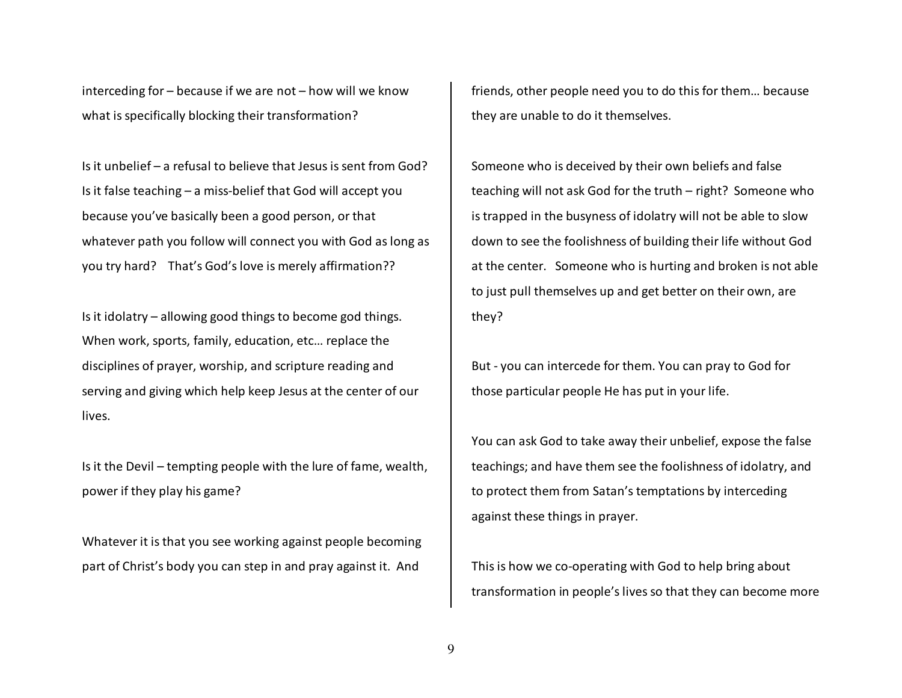interceding for – because if we are not – how will we know what is specifically blocking their transformation?

Is it unbelief – a refusal to believe that Jesus is sent from God? Is it false teaching – a miss-belief that God will accept you because you've basically been a good person, or that whatever path you follow will connect you with God as long as you try hard? That's God's love is merely affirmation??

Is it idolatry – allowing good things to become god things. When work, sports, family, education, etc… replace the disciplines of prayer, worship, and scripture reading and serving and giving which help keep Jesus at the center of our lives.

Is it the Devil – tempting people with the lure of fame, wealth, power if they play his game?

Whatever it is that you see working against people becoming part of Christ's body you can step in and pray against it. And

friends, other people need you to do this for them… because they are unable to do it themselves.

Someone who is deceived by their own beliefs and false teaching will not ask God for the truth – right? Someone who is trapped in the busyness of idolatry will not be able to slow down to see the foolishness of building their life without God at the center. Someone who is hurting and broken is not able to just pull themselves up and get better on their own, are they?

But - you can intercede for them. You can pray to God for those particular people He has put in your life.

You can ask God to take away their unbelief, expose the false teachings; and have them see the foolishness of idolatry, and to protect them from Satan's temptations by interceding against these things in prayer.

This is how we co-operating with God to help bring about transformation in people's lives so that they can become more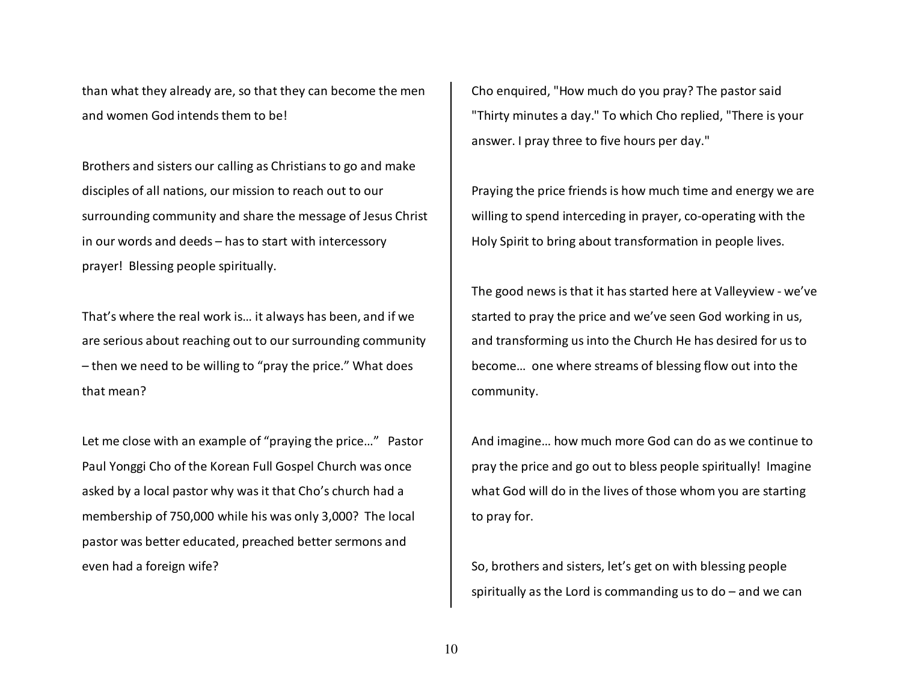than what they already are, so that they can become the men and women God intends them to be!

Brothers and sisters our calling as Christians to go and make disciples of all nations, our mission to reach out to our surrounding community and share the message of Jesus Christ in our words and deeds – has to start with intercessory prayer! Blessing people spiritually.

That's where the real work is… it always has been, and if we are serious about reaching out to our surrounding community – then we need to be willing to "pray the price." What does that mean?

Let me close with an example of "praying the price…" Pastor Paul Yonggi Cho of the Korean Full Gospel Church was once asked by a local pastor why was it that Cho's church had a membership of 750,000 while his was only 3,000? The local pastor was better educated, preached better sermons and even had a foreign wife?

Cho enquired, "How much do you pray? The pastor said"Thirty minutes a day." To which Cho replied, "There is your answer. I pray three to five hours per day."

Praying the price friends is how much time and energy we are willing to spend interceding in prayer, co-operating with the Holy Spirit to bring about transformation in people lives.

The good news is that it has started here at Valleyview - we've started to pray the price and we've seen God working in us, and transforming us into the Church He has desired for us to become… one where streams of blessing flow out into the community.

And imagine… how much more God can do as we continue to pray the price and go out to bless people spiritually! Imagine what God will do in the lives of those whom you are starting to pray for.

So, brothers and sisters, let's get on with blessing people spiritually as the Lord is commanding us to do – and we can